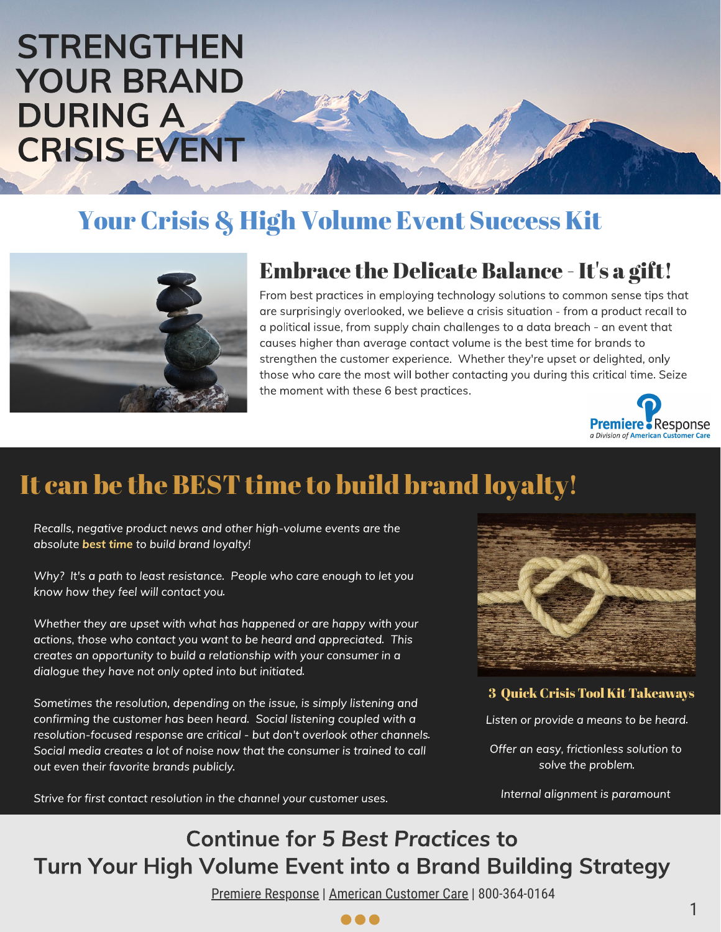# **STRENGTHEN** YOUR BRAND DURING A CRISIS EVENT

## Your Crisis & High Volume Event Success Kit



### Embrace the Delicate Balance - It's a git!

From best practices in employing technology solutions to common sense tips that<br>are surprisingly overlooked, we believe a crisis situation - from a product recall to a political issue, from supply chain challenges to a data breach - an event that causes higher than average contact volume is the best time for brands to causes higher than average contact volume is the best time for brands to<br>strengthen the customer experience. Whether they're upset or delighted, only<br>these who experts meet will be they contacting you during this exitied t those who care the most will bother contacting you during this critical time. Seize the moment with these 6 best practices. the moment with these 6 best practices.



## It can be the BEST time to build brand loyalty!

Recalls, negative product news are the rath-visit events are the are the discussion of the model of the model in the model of the model of the model of the model of the model of the model of the model of the model of the m

Why? It's a path to least resistance. People who care enough to let you<br>know how they feel will contact you.

Whether they are upset with what has happened or are happy with your<br>actions, those who contact you want to be heard and appreciated. This creates an opportunity to build a relationship with your consumer in a dialoque they have not only opted into but initiated. dialogue they have not only opted into but initiated.

Sometimes the resolution, depending on the issue, is simply listening and<br>confirming the customer has been heard. Social listening coupled with a resolution-focused response are critical - but don't overlook other channels.<br>Focial modia exects a let of poise now that the consumer is trained to call Social media creates a lot of noise now that the consumer is trained to call



3 Quick Crisis Tool Kit Takeaways

Offer an easy, frictionless solution to<br>solve the problem.

Internal alignment is paramount

## Continue for 5 Best Practices to Turn Your High Volume Event into a Brand Building Strategy

Premiere Response | American Customer Care | 800-364-0164

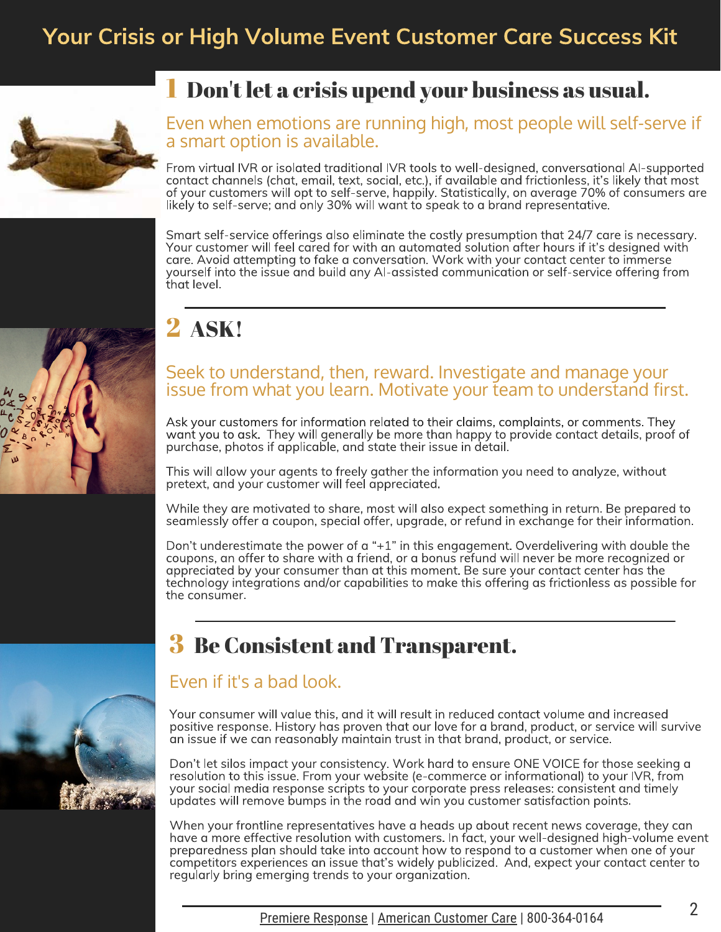### Your Crisis or High Volume Event Customer Care Success Kit



### 1 Don't let a crisis upend your business as usual.

#### Even when emotions are running high, most people will self-serve if a smart option is available.

From virtual IVR or isolated traditional IVR tools to well-designed, conversational AI-supported of your customers will opt to self-serve, happily. Statistically, on average 70% of consumers are likely to self-serve; and only 30% will want to speak to a brand representative. likely to self-serve; and only 30% will want to speak to a brand representative.

Smart self-service offerings also eliminate the costly presumption that 24/7 care is necessary. care. Avoid attempting to fake a conversation. Work with your contact center to immerse care. Avoid at the series and convert and a converse a communication or self-service offering from the issue and build any Al-assisted communication or self-service offering from yourself into the into the into the into the interest communication or self-service of the interest of the interest of the interest of the interest of the interest of the interest of the interest of the interest of the int



## 2 ASK!

#### Seek to understand, then, reward. Investigate and manage your issue from what you learn. Motivate your team to understand first.

Ask your customers for information related to their claims, complaints, or comments. They<br>want you to ask. They will generally be more than happy to provide contact details, proof of ware positions of applicable, and state their issue in detail. purchase, photos if applicable, and state their issue in detail.

 $T$  or freely  $T$  and  $T$  are information  $T$  and information  $T$  in  $T$  and  $T$  and  $T$  and  $T$  and  $T$  are  $T$  and  $T$  and  $T$  are  $T$  and  $T$  are  $T$  and  $T$  are  $T$  and  $T$  are  $T$  and  $T$  are  $T$  are  $T$  and  $T$  are pretext, and your customer will feel appreciated.

seamlessly offer a coupon, special offer, uparade, or refund in exchange for their information. seamlessly offer a coupon, special offer, upgrade, or refund in exchange for their information.

Don't underestimate the power of a "+1" in this engagement. Overdelivering with double the coupons, an offer to share with a friend, or a bonus refund will never be more recognized or appreciated by your consumer than at this moment. Be sure your contact center has the  $\epsilon$  technology integrations and/or capabilities to make this offering as frictionless as possib the consumer.<br>the consumer.

### 3 Be Consistent and Transparent.

#### Even if it's a bad look.

Your consumer will value this, and it will result in reduced contact volume and increased<br>positive response. History has proven that our love for a brand, product, or service will survive an issue if we can reasonably maintain trust in that brand, product, or service. an issue if we can reasonably maintain trust in that brand, product, or service.

Don't let silos impact your consistency. Work hard to ensure ONE VOICE for those seeking a your social media response scripts to your corporate press releases: consistent and timely  $y_0$  voltages will remove bumps in the road and win you customer satisfaction points. updates will remove bumps in the road and win you customer satisfaction points.

When your frontline representatives have a heads up about recent news coverage, they can<br>have a more effective resolution with customers. In fact, your well-designed high-volume event preparedness plan should take into account how to respond to a customer when one of your competitors experiences an issue that's widely publicized. And, expect your contact center to requiarly bring emerging trends to your organization. regularly bring emerging trends to your organization.